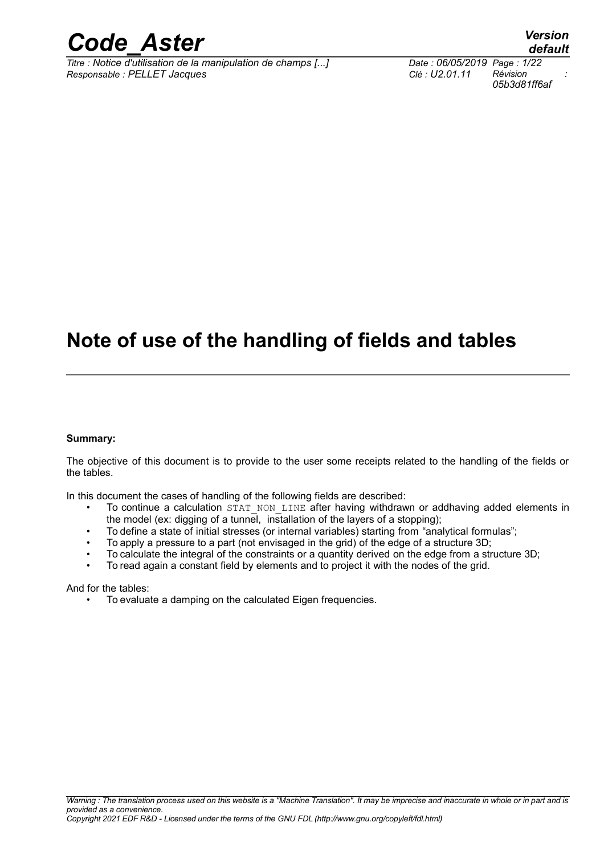

*Titre : Notice d'utilisation de la manipulation de champs [...] Date : 06/05/2019 Page : 1/22 Responsable : PELLET Jacques Clé : U2.01.11 Révision :*

# **Note of use of the handling of fields and tables**

### **Summary:**

The objective of this document is to provide to the user some receipts related to the handling of the fields or the tables.

In this document the cases of handling of the following fields are described:

- To continue a calculation STAT\_NON\_LINE after having withdrawn or addhaving added elements in the model (ex: digging of a tunnel, installation of the layers of a stopping);
- To define a state of initial stresses (or internal variables) starting from "analytical formulas";
- To apply a pressure to a part (not envisaged in the grid) of the edge of a structure 3D;
- To calculate the integral of the constraints or a quantity derived on the edge from a structure 3D;
- To read again a constant field by elements and to project it with the nodes of the grid.

And for the tables:

• To evaluate a damping on the calculated Eigen frequencies.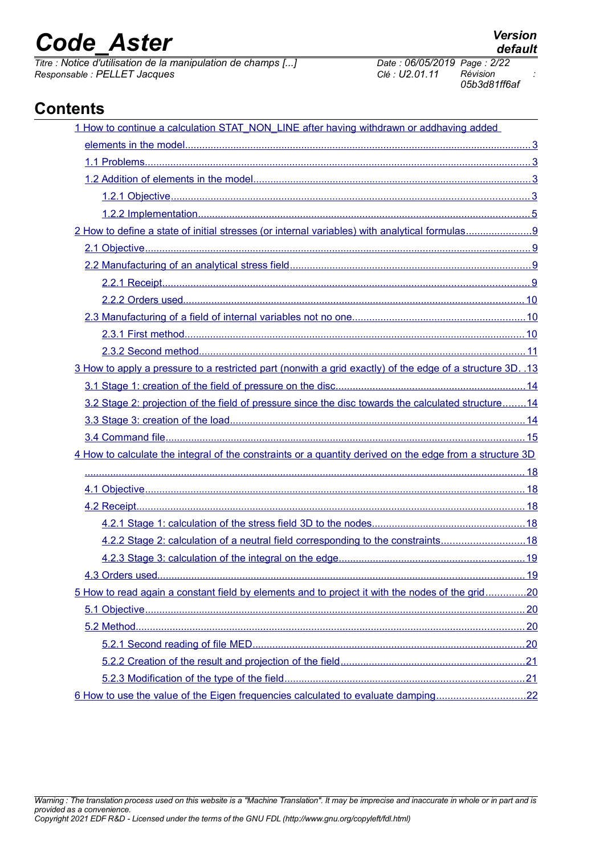*Titre : Notice d'utilisation de la manipulation de champs [...] Date : 06/05/2019 Page : 2/22 Responsable : PELLET Jacques Clé : U2.01.11 Révision :*

*05b3d81ff6af*

# **Contents**

| 1 How to continue a calculation STAT_NON_LINE after having withdrawn or addhaving added                    |  |
|------------------------------------------------------------------------------------------------------------|--|
|                                                                                                            |  |
|                                                                                                            |  |
|                                                                                                            |  |
|                                                                                                            |  |
|                                                                                                            |  |
|                                                                                                            |  |
|                                                                                                            |  |
|                                                                                                            |  |
|                                                                                                            |  |
|                                                                                                            |  |
|                                                                                                            |  |
|                                                                                                            |  |
|                                                                                                            |  |
|                                                                                                            |  |
| 3 How to apply a pressure to a restricted part (nonwith a grid exactly) of the edge of a structure 3D. .13 |  |
|                                                                                                            |  |
| 3.2 Stage 2: projection of the field of pressure since the disc towards the calculated structure14         |  |
|                                                                                                            |  |
|                                                                                                            |  |
|                                                                                                            |  |
| 4 How to calculate the integral of the constraints or a quantity derived on the edge from a structure 3D   |  |
|                                                                                                            |  |
|                                                                                                            |  |
|                                                                                                            |  |
|                                                                                                            |  |
| 4.2.2 Stage 2: calculation of a neutral field corresponding to the constraints18                           |  |
|                                                                                                            |  |
|                                                                                                            |  |
| 5 How to read again a constant field by elements and to project it with the nodes of the grid20            |  |
|                                                                                                            |  |
|                                                                                                            |  |
|                                                                                                            |  |
|                                                                                                            |  |
|                                                                                                            |  |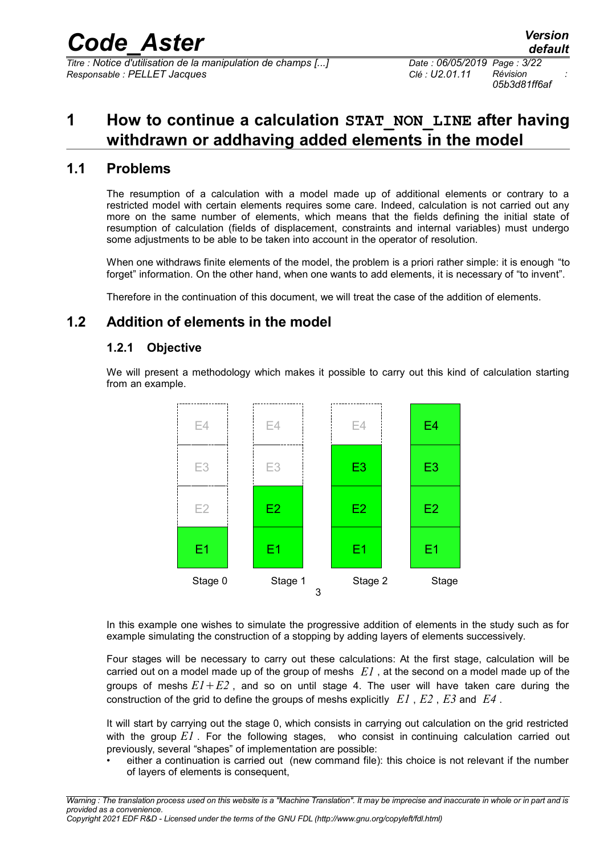*Titre : Notice d'utilisation de la manipulation de champs [...] Date : 06/05/2019 Page : 3/22 Responsable : PELLET Jacques Clé : U2.01.11 Révision :*

*05b3d81ff6af*

# <span id="page-2-3"></span>**1 How to continue a calculation STAT\_NON\_LINE after having withdrawn or addhaving added elements in the model**

## **1.1 Problems**

<span id="page-2-2"></span>The resumption of a calculation with a model made up of additional elements or contrary to a restricted model with certain elements requires some care. Indeed, calculation is not carried out any more on the same number of elements, which means that the fields defining the initial state of resumption of calculation (fields of displacement, constraints and internal variables) must undergo some adjustments to be able to be taken into account in the operator of resolution.

When one withdraws finite elements of the model, the problem is a priori rather simple: it is enough "to forget" information. On the other hand, when one wants to add elements, it is necessary of "to invent".

<span id="page-2-1"></span>Therefore in the continuation of this document, we will treat the case of the addition of elements.

# **1.2 Addition of elements in the model**

## <span id="page-2-0"></span>**1.2.1 Objective**

We will present a methodology which makes it possible to carry out this kind of calculation starting from an example.



In this example one wishes to simulate the progressive addition of elements in the study such as for example simulating the construction of a stopping by adding layers of elements successively.

Four stages will be necessary to carry out these calculations: At the first stage, calculation will be carried out on a model made up of the group of meshs *E1* , at the second on a model made up of the groups of meshs  $EI + E2$ , and so on until stage 4. The user will have taken care during the construction of the grid to define the groups of meshs explicitly *E1* , *E2* , *E3* and *E4* .

It will start by carrying out the stage 0, which consists in carrying out calculation on the grid restricted with the group *E1* . For the following stages, who consist in continuing calculation carried out previously, several "shapes" of implementation are possible:

either a continuation is carried out (new command file): this choice is not relevant if the number of layers of elements is consequent,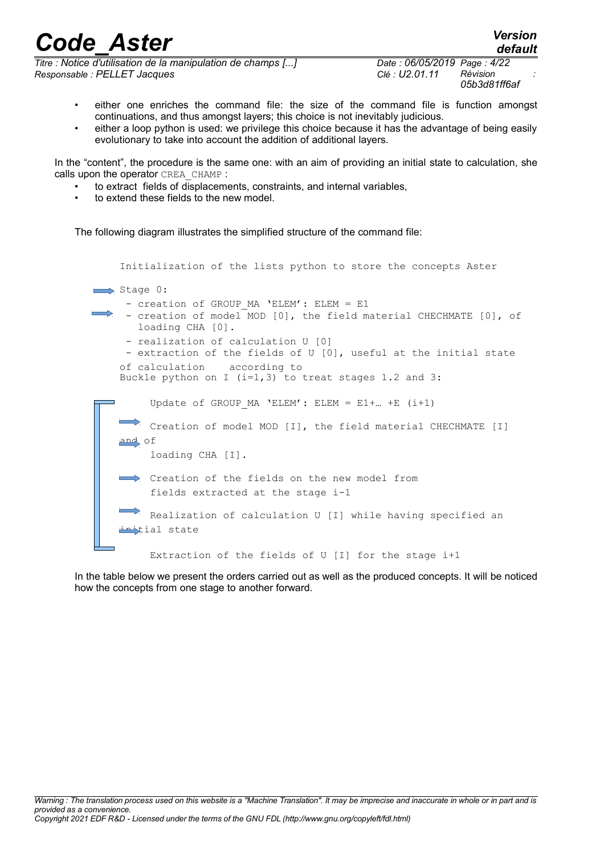*Titre : Notice d'utilisation de la manipulation de champs [...] Date : 06/05/2019 Page : 4/22 Responsable : PELLET Jacques Clé : U2.01.11 Révision :*

*default*

- either one enriches the command file: the size of the command file is function amongst continuations, and thus amongst layers; this choice is not inevitably judicious.
- either a loop python is used: we privilege this choice because it has the advantage of being easily evolutionary to take into account the addition of additional layers.

In the "content", the procedure is the same one: with an aim of providing an initial state to calculation, she calls upon the operator CREA\_CHAMP :

- to extract fields of displacements, constraints, and internal variables,
- to extend these fields to the new model.

The following diagram illustrates the simplified structure of the command file:

Buckle python on I  $(i=1,3)$  to treat stages 1.2 and 3: Update of GROUP MA 'ELEM': ELEM = E1+... +E (i+1) J. Creation of model MOD [I], the field material CHECHMATE [I] and of loading CHA [I]. Creation of the fields on the new model from fields extracted at the stage i-1 Realization of calculation U [I] while having specified an tial state Extraction of the fields of U [I] for the stage i+1 Initialization of the lists python to store the concepts Aster  $\Rightarrow$  Stage 0: - creation of GROUP MA 'ELEM': ELEM = E1 - creation of model MOD [0], the field material CHECHMATE [0], of loading CHA [0]. - realization of calculation U [0] - extraction of the fields of U [0], useful at the initial state of calculation according to

In the table below we present the orders carried out as well as the produced concepts. It will be noticed how the concepts from one stage to another forward.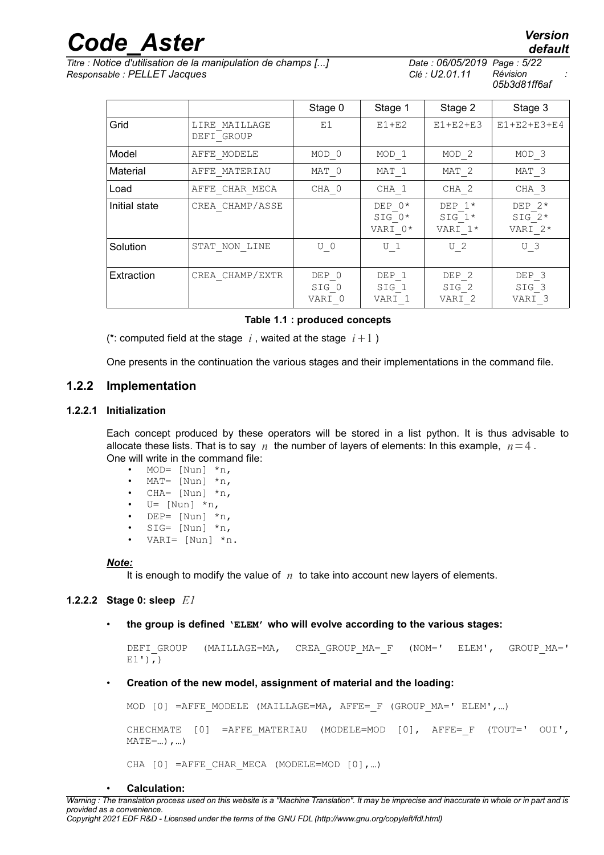*Titre : Notice d'utilisation de la manipulation de champs [...] Date : 06/05/2019 Page : 5/22 Responsable : PELLET Jacques Clé : U2.01.11 Révision :*

*05b3d81ff6af*

DEP\_2 SIG\_2 VARI\_2

|               |                             | Stage 0 | Stage 1                         | Stage 2                         | Stage 3                         |
|---------------|-----------------------------|---------|---------------------------------|---------------------------------|---------------------------------|
| Grid          | LIRE MAILLAGE<br>DEFI GROUP | E1      | $E1+E2$                         | $E1+E2+E3$                      | E1+E2+E3+E4                     |
| Model         | AFFE MODELE                 | MOD 0   | MOD <sub>1</sub>                | MOD <sub>2</sub>                | MOD <sub>3</sub>                |
| Material      | AFFE MATERIAU               | MAT 0   | MAT 1                           | MAT <sub>2</sub>                | MAT <sub>3</sub>                |
| Load          | AFFE CHAR MECA              | CHA 0   | CHA 1                           | CHA <sub>2</sub>                | CHA <sub>3</sub>                |
| Initial state | CREA CHAMP/ASSE             |         | DEP 0*<br>$SIG$ $0*$<br>VARI 0* | DEP $1*$<br>$SIG 1*$<br>VARI 1* | DEP $2*$<br>SIG $2*$<br>VARI 2* |
| Solution      | STAT NON LINE               | 0<br>U  | U <sub>1</sub>                  | -2<br>U                         | - 3<br>U                        |

DEP\_1 SIG\_1 VARI\_1

### **Table 1.1 : produced concepts**

SIG\_0 VARI\_0

(\*: computed field at the stage  $i$ , waited at the stage  $i+1$ )

Extraction  $\vert$  CREA CHAMP/EXTR  $\vert$  DEP 0

<span id="page-4-0"></span>One presents in the continuation the various stages and their implementations in the command file.

### **1.2.2 Implementation**

### **1.2.2.1 Initialization**

Each concept produced by these operators will be stored in a list python. It is thus advisable to allocate these lists. That is to say *n* the number of layers of elements: In this example,  $n=4$ . One will write in the command file:

- MOD=  $[Nun] *n,$
- MAT=  $[Nun] *n,$
- CHA=  $[Nun]$  \*n,
- $U=$  [Nun]  $*n,$
- DEP=  $[Nun]$  \*n,
- $SIG=$  [Nun]  $*n$ ,
- VARI=  $[Nun] *n$ .
- 

#### *Note:*

It is enough to modify the value of *n* to take into account new layers of elements.

### **1.2.2.2 Stage 0: sleep** *E1*

• **the group is defined 'ELEM' who will evolve according to the various stages:**

```
DEFI GROUP (MAILLAGE=MA, CREA GROUP MA= F (NOM=' ELEM', GROUP MA='
E1'),)
```
### • **Creation of the new model, assignment of material and the loading:**

MOD  $[0]$  =AFFE MODELE (MAILLAGE=MA, AFFE= F (GROUP MA=' ELEM',...)

CHECHMATE [0] =AFFE\_MATERIAU (MODELE=MOD [0], AFFE=\_F (TOUT=' OUI',  $MATE = ...$ ), ...

CHA  $[0]$  =AFFE CHAR MECA (MODELE=MOD  $[0]$ , ...)

• **Calculation:**

*default*

DEP\_3 SIG\_3 VARI\_3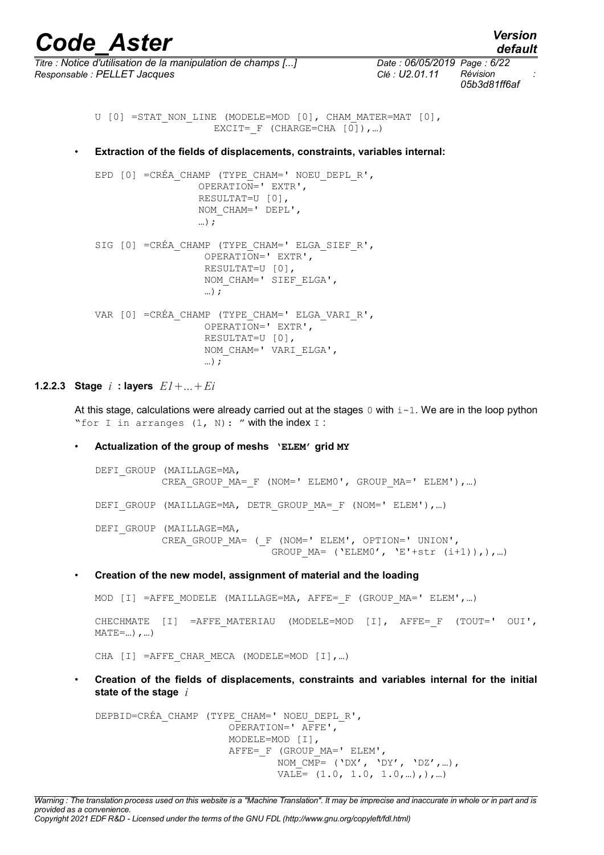*default*

*Titre : Notice d'utilisation de la manipulation de champs [...] Date : 06/05/2019 Page : 6/22 Responsable : PELLET Jacques Clé : U2.01.11 Révision :*

*05b3d81ff6af*

```
U [0] =STAT NON LINE (MODELE=MOD [0], CHAM MATER=MAT [0],
                    EXCIT= F (CHARGE=CHA [0]), ...)
```
• **Extraction of the fields of displacements, constraints, variables internal:**

```
EPD [0] = CRÉA CHAMP (TYPE CHAM=' NOEU DEPL R',
                   OPERATION=' EXTR',
                   RESULTAT=U [0],
                   NOM_CHAM=' DEPL',
                   …);
SIG [0] = CRÉA CHAMP (TYPE CHAM=' ELGA SIEF R',
                    OPERATION=' EXTR',
                    RESULTAT=U [0],
                   NOM CHAM=' SIEF ELGA',
                    …);
VAR [0] =CRÉA_CHAMP (TYPE_CHAM=' ELGA_VARI_R',
                    OPERATION=' EXTR',
                    RESULTAT=U [0],
                    NOM_CHAM=' VARI_ELGA',
                    …);
```
### **1.2.2.3 Stage** *i* **: layers** *E1*...*Ei*

At this stage, calculations were already carried out at the stages 0 with  $i-1$ . We are in the loop python "for I in arranges  $(1, N)$ : " with the index I :

### • **Actualization of the group of meshs 'ELEM' grid MY**

DEFI GROUP (MAILLAGE=MA, CREA GROUP MA= F (NOM=' ELEM0', GROUP MA=' ELEM'), ...) DEFI\_GROUP (MAILLAGE=MA, DETR\_GROUP\_MA=\_F (NOM=' ELEM'), ...) DEFI GROUP (MAILLAGE=MA, CREA\_GROUP\_MA= (\_F (NOM=' ELEM', OPTION=' UNION', GROUP  $MA=$  ('ELEMO', 'E'+str (i+1)),),...)

• **Creation of the new model, assignment of material and the loading** 

MOD  $[I]$  =AFFE MODELE (MAILLAGE=MA, AFFE= F (GROUP MA=' ELEM',...)

CHECHMATE [I] =AFFE\_MATERIAU (MODELE=MOD [I], AFFE=\_F (TOUT=' OUI',  $MATE = ...$ ), …)

CHA [I] =AFFE CHAR MECA (MODELE=MOD [I], ...)

• **Creation of the fields of displacements, constraints and variables internal for the initial state of the stage** *i*

DEPBID=CRÉA\_CHAMP (TYPE\_CHAM=' NOEU\_DEPL\_R', OPERATION=' AFFE', MODELE=MOD [I], AFFE= F (GROUP MA=' ELEM', NOM  $\overline{CMP}$ = ('DX', 'DY', 'DZ',...),  $VALE= (1.0, 1.0, 1.0, ...)$ ,),...)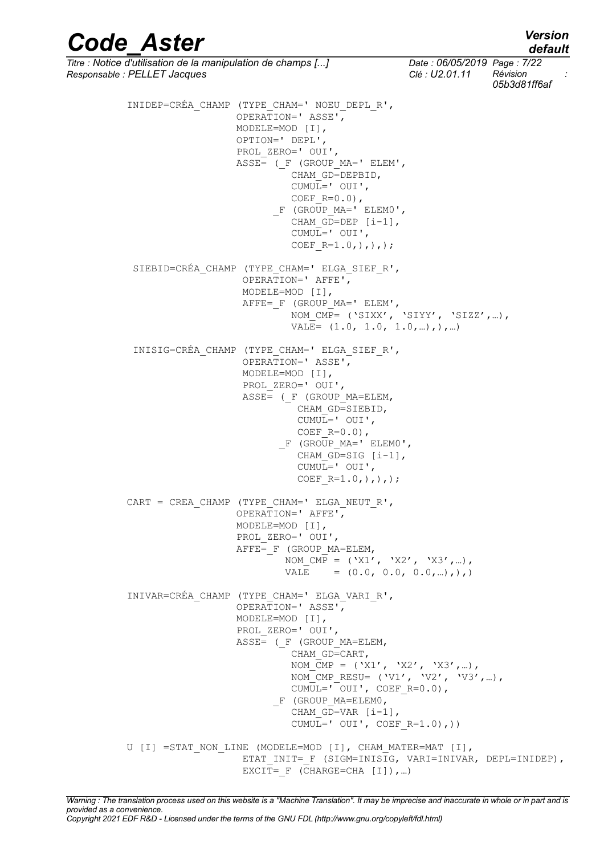# *default*

*Code\_Aster Version*

*Titre : Notice d'utilisation de la manipulation de champs [...] Date : 06/05/2019 Page : 7/22 Responsable : PELLET Jacques Clé : U2.01.11 Révision : 05b3d81ff6af* INIDEP=CRÉA\_CHAMP (TYPE\_CHAM=' NOEU\_DEPL\_R', OPERATION=' ASSE', MODELE=MOD [I], OPTION=' DEPL', PROL\_ZERO=' OUI',  $ASSE=$  (  $F$  (GROUP MA=' ELEM', CHAM\_GD=DEPBID, CUMUL=' OUI', COEF  $R=0.0$ ),  $\overline{\phantom{a}}$   $\overline{\phantom{a}}$  (GROUP MA=' ELEM0', CHAM  $G$ D=DEP  $[i-1]$ , CUMUL=' OUI', COEF  $R=1.0,),),$ ; SIEBID=CRÉA\_CHAMP (TYPE\_CHAM=' ELGA\_SIEF\_R', OPERATION=' AFFE', MODELE=MOD [I], AFFE=\_F (GROUP\_MA=' ELEM', NOM\_CMP= ('SIXX', 'SIYY', 'SIZZ',…), VALE= (1.0, 1.0, 1.0,…),),…) INISIG=CRÉA\_CHAMP (TYPE\_CHAM=' ELGA\_SIEF\_R', OPERATION=' ASSE', MODELE=MOD [I], PROL\_ZERO=' OUI',  $ASSE =$  (  $F$  (GROUP MA=ELEM, CHAM\_GD=SIEBID, CUMUL=' OUI', COEF  $R=0.0$ ), F (GROUP MA=' ELEM0', CHAM GD=SIG [i-1], CUMUL=' OUI', COEF  $R=1.0,),),$ ; CART = CREA CHAMP (TYPE CHAM=' ELGA NEUT R', OPERATION=' AFFE', MODELE=MOD [I], PROL ZERO=' OUI', AFFE= F (GROUP MA=ELEM, NOM  $\overline{CMP} = ('X1', 'X2', 'X3', ...)$ , VALE =  $(0.0, 0.0, 0.0, ...)$ ,),) INIVAR=CRÉA\_CHAMP (TYPE\_CHAM=' ELGA\_VARI\_R', OPERATION=' ASSE', MODELE=MOD [I], PROL ZERO=' OUI',  $ASSE=$  (  $F$  (GROUP MA=ELEM, CHAM GD=CART, NOM  $\overline{C}MP = ('X1', 'X2', 'X3', ...)$ , NOM CMP RESU=  $('V1', 'V2', 'V3', ...)$  $CUMUL='OUI', COEF R=0.0),$ \_F (GROUP MA=ELEM0, CHAM GD=VAR [i-1], CUMUL='  $OUT', COEF$  R=1.0),)) U [I] =STAT NON LINE (MODELE=MOD [I], CHAM MATER=MAT [I], ETAT\_INIT=\_F (SIGM=INISIG, VARI=INIVAR, DEPL=INIDEP), EXCIT=  $F$  (CHARGE=CHA [I]), ...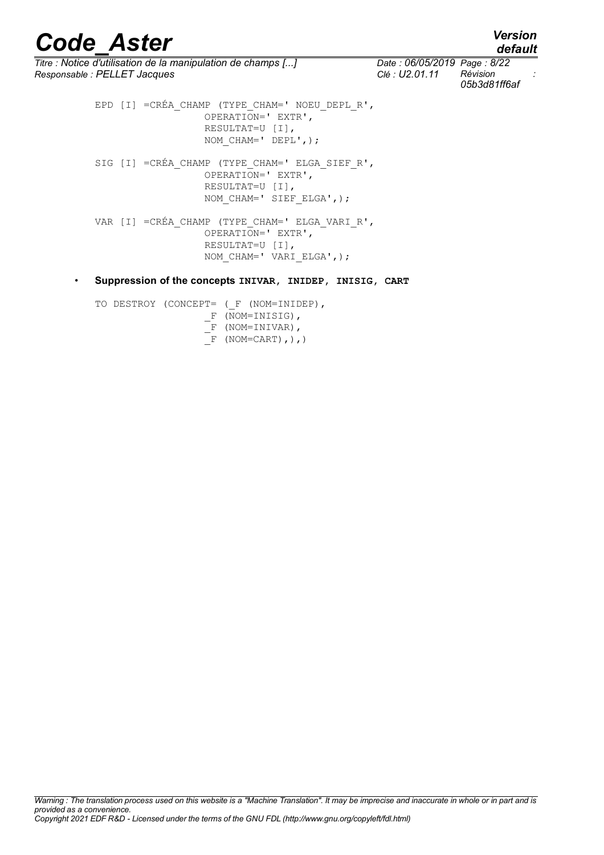*default*

*Titre : Notice d'utilisation de la manipulation de champs [...] Date : 06/05/2019 Page : 8/22 Responsable : PELLET Jacques Clé : U2.01.11 Révision :*

*05b3d81ff6af*

EPD [I] = CRÉA CHAMP (TYPE CHAM=' NOEU DEPL R', OPERATION=' EXTR', RESULTAT=U [I], NOM CHAM=' DEPL',); SIG [I] = CRÉA CHAMP (TYPE CHAM=' ELGA SIEF R', OPERATION=' EXTR', RESULTAT=U [I], NOM CHAM=' SIEF ELGA',); VAR [I] =CRÉA\_CHAMP (TYPE\_CHAM=' ELGA\_VARI\_R', OPERATION=' EXTR', RESULTAT=U [I], NOM\_CHAM=' VARI\_ELGA',);

• **Suppression of the concepts INIVAR, INIDEP, INISIG, CART**

TO DESTROY (CONCEPT= ( F (NOM=INIDEP),  $F$  (NOM=INISIG),  $\overline{F}$  (NOM=INIVAR),  $\overline{F}$  (NOM=CART), ),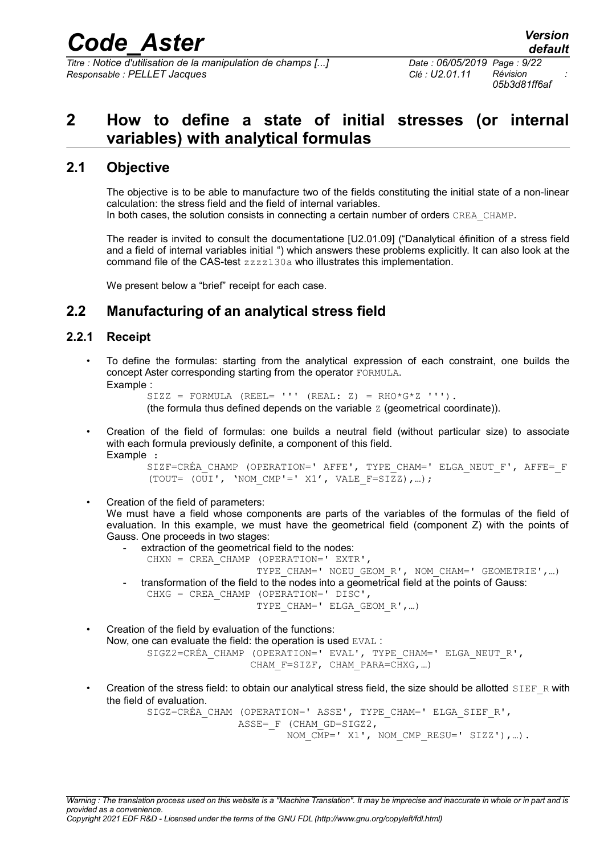*Titre : Notice d'utilisation de la manipulation de champs [...] Date : 06/05/2019 Page : 9/22 Responsable : PELLET Jacques Clé : U2.01.11 Révision :*

*05b3d81ff6af*

# <span id="page-8-3"></span>**2 How to define a state of initial stresses (or internal variables) with analytical formulas**

## **2.1 Objective**

<span id="page-8-2"></span>The objective is to be able to manufacture two of the fields constituting the initial state of a non-linear calculation: the stress field and the field of internal variables. In both cases, the solution consists in connecting a certain number of orders CREA\_CHAMP.

The reader is invited to consult the documentatione [U2.01.09] ("Danalytical éfinition of a stress field and a field of internal variables initial ") which answers these problems explicitly. It can also look at the command file of the CAS-test zzzz130a who illustrates this implementation.

<span id="page-8-1"></span>We present below a "brief" receipt for each case.

# **2.2 Manufacturing of an analytical stress field**

## **2.2.1 Receipt**

<span id="page-8-0"></span>• To define the formulas: starting from the analytical expression of each constraint, one builds the concept Aster corresponding starting from the operator FORMULA. Example :

```
SIZZ = FORMULA (REEL = '''' (REAL: Z) = RHO * G * Z ''''.
```
(the formula thus defined depends on the variable  $Z$  (geometrical coordinate)).

• Creation of the field of formulas: one builds a neutral field (without particular size) to associate with each formula previously definite, a component of this field. Example :

```
SIZF=CRÉA_CHAMP (OPERATION=' AFFE', TYPE_CHAM=' ELGA_NEUT_F', AFFE=_F
(TOUT= (OUT', 'NOM CMP'=' X1', VALE F=SIZZ),...);
```
• Creation of the field of parameters:

We must have a field whose components are parts of the variables of the formulas of the field of evaluation. In this example, we must have the geometrical field (component Z) with the points of Gauss. One proceeds in two stages:

- extraction of the geometrical field to the nodes:
- CHXN = CREA\_CHAMP (OPERATION=' EXTR', TYPE CHAM=' NOEU GEOM R', NOM CHAM=' GEOMETRIE', ...) - transformation of the field to the nodes into a geometrical field at the points of Gauss: CHXG = CREA CHAMP (OPERATION=' DISC', TYPE CHAM=' ELGA GEOM R',...)

• Creation of the field by evaluation of the functions: Now, one can evaluate the field: the operation is used EVAL : SIGZ2=CRÉA\_CHAMP (OPERATION=' EVAL', TYPE\_CHAM=' ELGA\_NEUT\_R', CHAM F=SIZF, CHAM PARA=CHXG,...)

Creation of the stress field: to obtain our analytical stress field, the size should be allotted  $SIEF$  R with the field of evaluation.

SIGZ=CRÉA\_CHAM (OPERATION=' ASSE', TYPE\_CHAM=' ELGA\_SIEF\_R', ASSE= F (CHAM GD=SIGZ2, NOM CMP=' X1', NOM CMP RESU=' SIZZ'),...).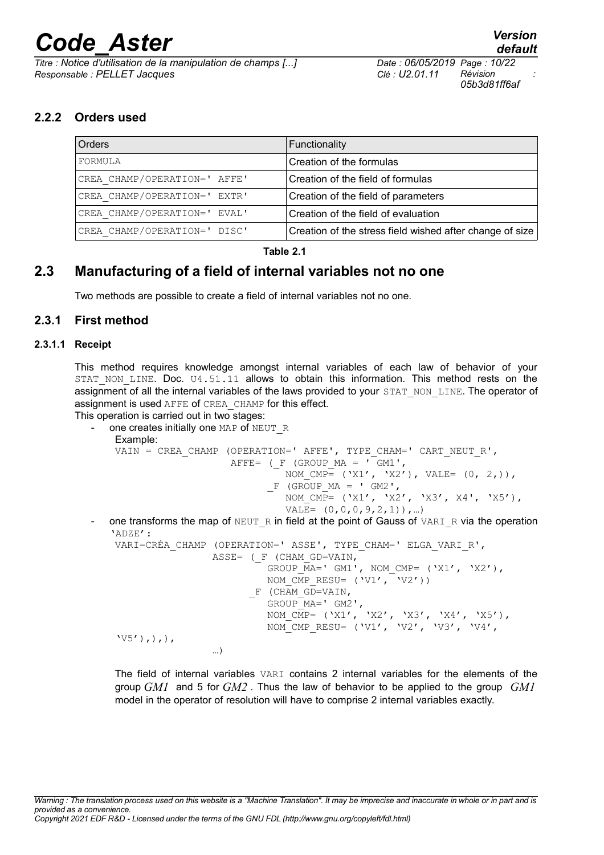*Titre : Notice d'utilisation de la manipulation de champs [...] Date : 06/05/2019 Page : 10/22 Responsable : PELLET Jacques Clé : U2.01.11 Révision :*

*05b3d81ff6af*

## **2.2.2 Orders used**

<span id="page-9-2"></span>

| Orders                       | Functionality                                            |
|------------------------------|----------------------------------------------------------|
| FORMULA                      | Creation of the formulas                                 |
| CREA CHAMP/OPERATION=' AFFE' | Creation of the field of formulas                        |
| CREA CHAMP/OPERATION=' EXTR' | Creation of the field of parameters                      |
| CREA CHAMP/OPERATION=' EVAL' | Creation of the field of evaluation                      |
| CREA CHAMP/OPERATION=' DISC' | Creation of the stress field wished after change of size |

### **Table 2.1**

## **2.3 Manufacturing of a field of internal variables not no one**

<span id="page-9-1"></span><span id="page-9-0"></span>Two methods are possible to create a field of internal variables not no one.

### **2.3.1 First method**

### **2.3.1.1 Receipt**

This method requires knowledge amongst internal variables of each law of behavior of your STAT NON LINE. Doc. U4.51.11 allows to obtain this information. This method rests on the assignment of all the internal variables of the laws provided to your STAT\_NON\_LINE. The operator of assignment is used AFFE of CREA\_CHAMP for this effect.

This operation is carried out in two stages:

```
one creates initially one MAP of NEUT R
 Example: 
 VAIN = CREA CHAMP (OPERATION=' AFFE', TYPE CHAM=' CART NEUT R',
                    AFFE= (F (GROUP MA = T GM1',
                            NOM CMP= ('X1', 'X2'), VALE= (0, 2,)),
                          F (GROUP MA = ' GM2',
                             NOM \overline{CMP}= ('X1', 'X2', 'X3', X4', 'X5'),
                             VALE= (0, 0, 0, 9, 2, 1),...
one transforms the map of NEUT \overline{R} in field at the point of Gauss of VARI \overline{R} via the operation
'ADZE':
 VARI=CRÉA CHAMP (OPERATION=' ASSE', TYPE CHAM=' ELGA VARI R',
                 ASSE= (F (CHAM GD=VAIN,
                          GROUP \overline{MA}=' GM1', NOM CMP= ('X1', 'X2'),
                          NOM CMP RESU= ('V1', 'V2'))F (CHAM GD=VAIN,
 GROUP MA=' GM2',
  NOM_CMP= ('X1', 'X2', 'X3', 'X4', 'X5'),
 NOM CMP RESU= ('V1', 'V2', 'V3', 'V4','V5'),),),
  …)
```
The field of internal variables VARI contains 2 internal variables for the elements of the group *GM1* and 5 for *GM2* . Thus the law of behavior to be applied to the group *GM1* model in the operator of resolution will have to comprise 2 internal variables exactly.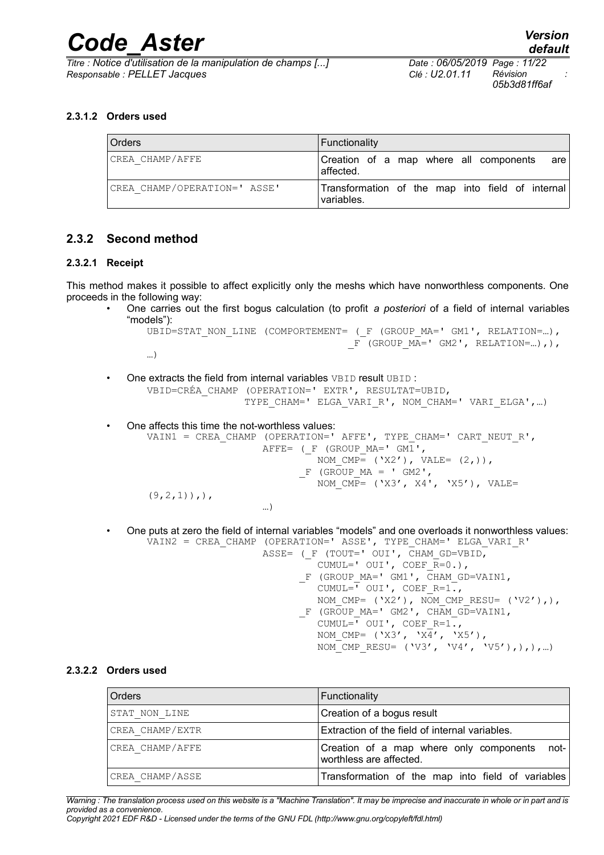*Titre : Notice d'utilisation de la manipulation de champs [...] Date : 06/05/2019 Page : 11/22 Responsable : PELLET Jacques Clé : U2.01.11 Révision :*

*05b3d81ff6af*

### **2.3.1.2 Orders used**

| Orders                       | Functionality                                                  |
|------------------------------|----------------------------------------------------------------|
| CREA CHAMP/AFFE              | are<br>Creation of a map where all components<br>affected.     |
| CREA CHAMP/OPERATION=' ASSE' | Transformation of the map into field of internal<br>variables. |

### <span id="page-10-0"></span>**2.3.2 Second method**

### **2.3.2.1 Receipt**

This method makes it possible to affect explicitly only the meshs which have nonworthless components. One proceeds in the following way:

• One carries out the first bogus calculation (to profit *a posteriori* of a field of internal variables "models"):

```
UBID=STAT NON LINE (COMPORTEMENT= ( F (GROUP MA=' GM1', RELATION=...),
                                      F (GROUP M\overline{A}=' GM2', RELATION=...),),
```
…)

- One extracts the field from internal variables VBID result UBID: VBID=CRÉA\_CHAMP (OPERATION=' EXTR', RESULTAT=UBID, TYPE CHAM=' ELGA VARI R', NOM CHAM=' VARI ELGA',...)
- One affects this time the not-worthless values: VAIN1 = CREA CHAMP (OPERATION=' AFFE', TYPE CHAM=' CART NEUT R', AFFE= ( $F$  (GROUP MA=' GM1', NOM  $CMP= ('X2')$ , VALE=  $(2,))$ ,  $-F$  (GROUP MA = ' GM2', NOM  $\overline{CMP}$ = ('X3', X4', 'X5'), VALE=  $(9, 2, 1)$ ,,, …)
- One puts at zero the field of internal variables "models" and one overloads it nonworthless values: VAIN2 = CREA\_CHAMP (OPERATION=' ASSE', TYPE\_CHAM=' ELGA\_VARI\_R'
	- ASSE=  $(\_\text{F}$  (TOUT=' OUI', CHAM\_GD=VBID, CUMUL=' OUI', COEF  $\overline{R}=0.$ ),  $\Gamma$  (GROUP $\mu$ A=' GM1',  $\overline{C}$ HAM $\overline{C}$ D=VAIN1, CUMUL= $\overline{ }$  OUI', COEF R=1., NOM CMP= ('X2'),  $\overline{NOM\_CMP\_RESU}$ = ('V2'),), \_F (GROUP\_MA=' GM2', CHAM\_GD=VAIN1, CUMUL= $\overline{'}$  OUI', COEF R=1., NOM CMP= ('X3', 'X $\overline{4}'$ ', 'X5'), NOM CMP RESU= ('V3', 'V4', 'V5'),),),…)

### **2.3.2.2 Orders used**

| Orders          | Functionality                                                                |
|-----------------|------------------------------------------------------------------------------|
| STAT NON LINE   | Creation of a bogus result                                                   |
| CREA CHAMP/EXTR | Extraction of the field of internal variables.                               |
| CREA CHAMP/AFFE | $not-$<br>Creation of a map where only components<br>worthless are affected. |
| CREA CHAMP/ASSE | Transformation of the map into field of variables                            |

*Warning : The translation process used on this website is a "Machine Translation". It may be imprecise and inaccurate in whole or in part and is provided as a convenience.*

*Copyright 2021 EDF R&D - Licensed under the terms of the GNU FDL (http://www.gnu.org/copyleft/fdl.html)*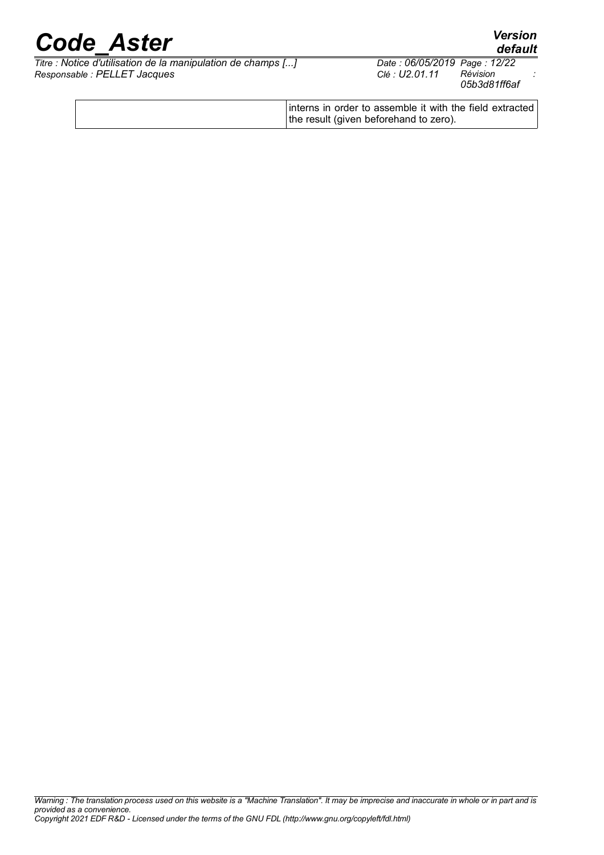*default*

*Titre : Notice d'utilisation de la manipulation de champs [...] Date : 06/05/2019 Page : 12/22*  $Responsible : PELLET$  *Jacques* 

*05b3d81ff6af*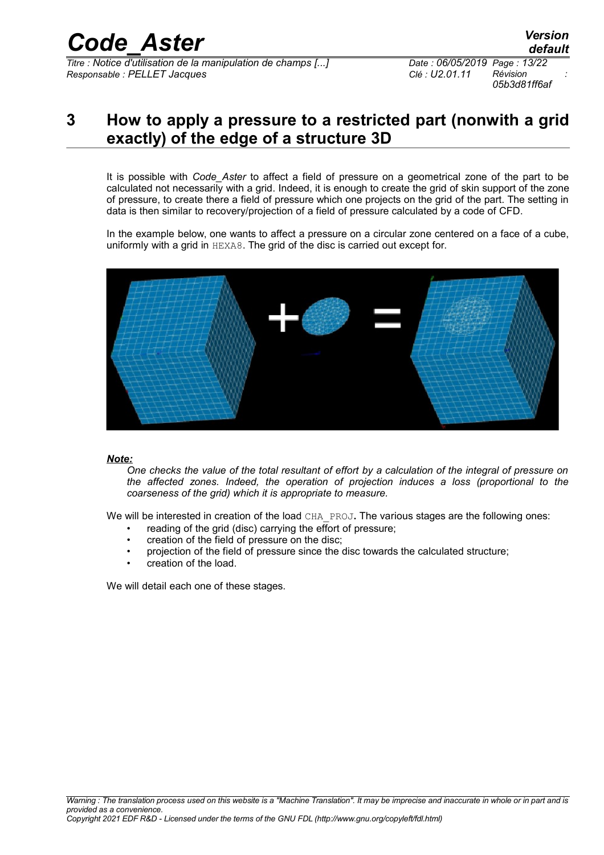*Titre : Notice d'utilisation de la manipulation de champs [...] Date : 06/05/2019 Page : 13/22 Responsable : PELLET Jacques Clé : U2.01.11 Révision :*

*default 05b3d81ff6af*

# <span id="page-12-0"></span>**3 How to apply a pressure to a restricted part (nonwith a grid exactly) of the edge of a structure 3D**

It is possible with *Code\_Aster* to affect a field of pressure on a geometrical zone of the part to be calculated not necessarily with a grid. Indeed, it is enough to create the grid of skin support of the zone of pressure, to create there a field of pressure which one projects on the grid of the part. The setting in data is then similar to recovery/projection of a field of pressure calculated by a code of CFD.

In the example below, one wants to affect a pressure on a circular zone centered on a face of a cube, uniformly with a grid in HEXA8. The grid of the disc is carried out except for.



#### *Note:*

*One checks the value of the total resultant of effort by a calculation of the integral of pressure on the affected zones. Indeed, the operation of projection induces a loss (proportional to the coarseness of the grid) which it is appropriate to measure.*

We will be interested in creation of the load CHA\_PROJ. The various stages are the following ones:

- reading of the grid (disc) carrying the effort of pressure;
- creation of the field of pressure on the disc;
- projection of the field of pressure since the disc towards the calculated structure;
- creation of the load.

We will detail each one of these stages.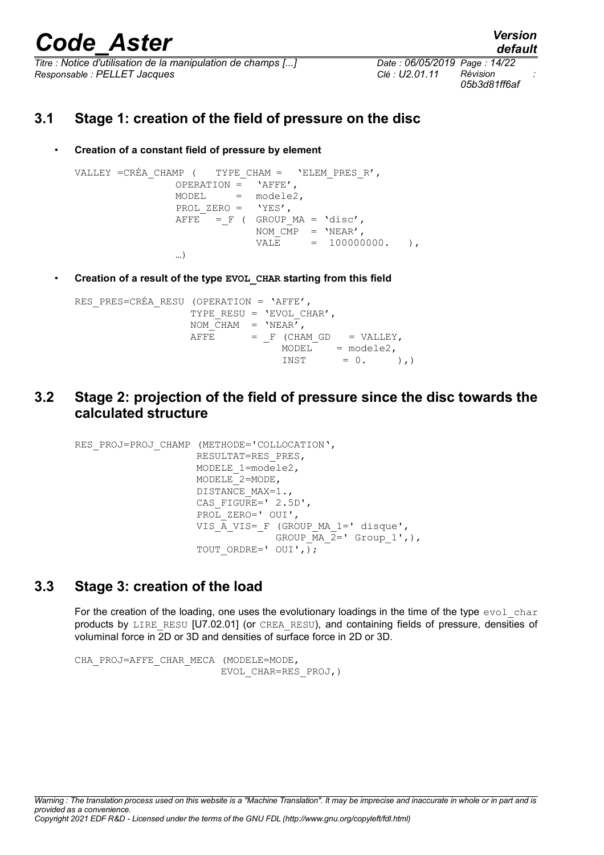*Titre : Notice d'utilisation de la manipulation de champs [...] Date : 06/05/2019 Page : 14/22 Responsable : PELLET Jacques Clé : U2.01.11 Révision :*

*default 05b3d81ff6af*

## **3.1 Stage 1: creation of the field of pressure on the disc**

<span id="page-13-2"></span>• **Creation of a constant field of pressure by element**

```
VALLEY =CRÉA CHAMP ( TYPE CHAM = 'ELEM PRES R',
                 OPERATION = 'AFFE',
                 MODEL = modele2,
                 PROL ZERO = 'YES',
                 A \text{FFE} = F ( GROUP MA = 'disc',
                              NOM \overline{CMP} = 'NEAR',
                               V A L E = 100000000, ),
                  …)
```
• **Creation of a result of the type EVOL\_CHAR starting from this field**

```
RES PRES=CRÉA RESU (OPERATION = 'AFFE',
                          TYPE RESU = 'EVOL CHAR',
                          NOM CHAM = 'NEAR',AFFE = F (CHAM GD = VALLEY,
                                               \begin{array}{rcl} \text{MODEL}^- & = \text{modele2,} \\ \text{INST} & = 0 \, . \end{array}= 0. ),)
```
<span id="page-13-1"></span>**3.2 Stage 2: projection of the field of pressure since the disc towards the calculated structure**

```
RES_PROJ=PROJ_CHAMP (METHODE='COLLOCATION',
                       RESULTAT=RES_PRES,
                       MODELE_1=modele2,
                       MODELE_2=MODE,
                      DISTANCE MAX=1.,
                      CAS FIGURE=' 2.5D',
                      PROL ZERO=' OUI',
                      VIS A VIS= F (GROUP MA 1=' disque',
                                     GROUP \overline{MA} \overline{2}=' Group 1',),
                      TOUT ORDRE=' OUI',);
```
# **3.3 Stage 3: creation of the load**

<span id="page-13-0"></span>For the creation of the loading, one uses the evolutionary loadings in the time of the type  $evol$  char products by LIRE\_RESU [U7.02.01] (or CREA\_RESU), and containing fields of pressure, densities of voluminal force in 2D or 3D and densities of surface force in 2D or 3D.

```
CHA_PROJ=AFFE_CHAR_MECA (MODELE=MODE,
                          EVOL_CHAR=RES_PROJ,)
```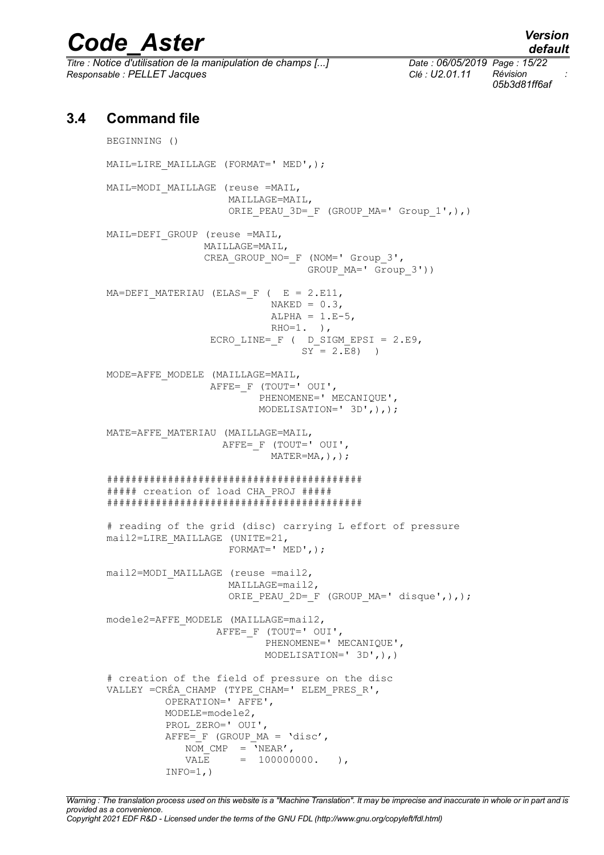*Titre : Notice d'utilisation de la manipulation de champs [...] Date : 06/05/2019 Page : 15/22 Responsable : PELLET Jacques Clé : U2.01.11 Révision :*

## **3.4 Command file**

<span id="page-14-0"></span>BEGINNING () MAIL=LIRE MAILLAGE (FORMAT=' MED',); MAIL=MODI\_MAILLAGE (reuse =MAIL, MAILLAGE=MAIL, ORIE PEAU 3D= F (GROUP MA=' Group  $1',$ ),) MAIL=DEFI\_GROUP (reuse =MAIL, MAILLAGE=MAIL, CREA\_GROUP\_NO=\_F (NOM=' Group\_3', GROUP MA=' Group 3')) MA=DEFI MATERIAU (ELAS= F (  $E = 2.E11$ ,  $NAKED = 0.3$ ,  $ALPHA = 1.E-5,$  $RHO=1.$  ), ECRO LINE=  $F$  ( D SIGM EPSI = 2.E9,  $SY = 2.E8$ ) ) MODE=AFFE\_MODELE (MAILLAGE=MAIL, AFFE= F (TOUT=' OUI', PHENOMENE=' MECANIQUE', MODELISATION=' 3D',),); MATE=AFFE\_MATERIAU (MAILLAGE=MAIL, AFFE= F (TOUT=' OUI', MATER=MA, ), ); ########################################## ##### creation of load CHA\_PROJ ##### ########################################## # reading of the grid (disc) carrying L effort of pressure mail2=LIRE\_MAILLAGE (UNITE=21, FORMAT='  $MED',$ ); mail2=MODI MAILLAGE (reuse =mail2, MAILLAGE=mail2, ORIE PEAU 2D= F (GROUP MA=' disque',),); modele2=AFFE\_MODELE (MAILLAGE=mail2, AFFE= F (TOUT=' OUI', PHENOMENE=' MECANIQUE', MODELISATION=' 3D',),) # creation of the field of pressure on the disc VALLEY =CRÉA\_CHAMP (TYPE\_CHAM=' ELEM\_PRES\_R', OPERATION=' AFFE', MODELE=modele2, PROL\_ZERO=' OUI',  $A$ FFE= F (GROUP MA = 'disc', NOM CMP =  $'NEAR'$ ,  $VALE = 100000000$ . ),  $INFO=1,$ )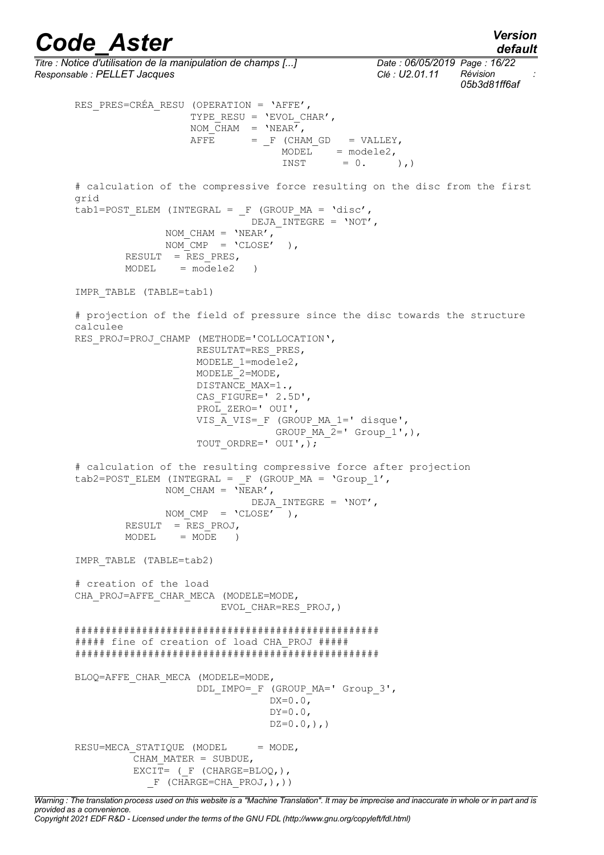*default*

*Titre : Notice d'utilisation de la manipulation de champs [...] Date : 06/05/2019 Page : 16/22 Responsable : PELLET Jacques Clé : U2.01.11 Révision : 05b3d81ff6af* RES PRES=CRÉA RESU (OPERATION = 'AFFE', TYPE RESU =  $'EVOLCHAR'$ , NOM  $CHAM = 'NEAR',$  $A \overline{FFE}$  =  $F$  (CHAM GD = VALLEY,  $MODEL = modele2$ ,  $INST = 0.$  ), # calculation of the compressive force resulting on the disc from the first grid  $tab1=POST\_ELEM (INTERAL =  $F$  (GROUP_MA = 'disc',$ DEJA INTEGRE =  $'NOT'$ , NOM CHAM =  $'NEAR'$ ,  $\overline{NOM}$   $\overline{CMP}$  =  $\overline{CLOSE'}$  ), RESULT =  $RES$  PRES,  $MODEL = modele2$ IMPR\_TABLE (TABLE=tab1) # projection of the field of pressure since the disc towards the structure calculee RES PROJ=PROJ CHAMP (METHODE='COLLOCATION', RESULTAT=RES\_PRES, MODELE 1=modele2, MODELE\_2=MODE, DISTANCE MAX=1., CAS FIGURE='  $2.5D'$ , PROL ZERO=' OUI', VIS  $\overline{A}$  VIS=  $F$  (GROUP MA 1=' disque', GROUP  $\overline{MA}$  2=' Group 1',), TOUT ORDRE=' OUI',  $\overline{\ }$ ; # calculation of the resulting compressive force after projection tab2=POST\_ELEM (INTEGRAL =  $_F$  (GROUP MA = 'Group 1', NOM CHAM =  $'NEAR'$ , DEJA\_INTEGRE = 'NOT', NOM  $CMP = 'CLOSE'$  ), RESULT = RES\_PROJ,  $MODEL = MODE$  ) IMPR\_TABLE (TABLE=tab2) # creation of the load CHA\_PROJ=AFFE\_CHAR\_MECA (MODELE=MODE, EVOL\_CHAR=RES\_PROJ,) ################################################## ##### fine of creation of load CHA\_PROJ ##### ################################################## BLOQ=AFFE\_CHAR\_MECA (MODELE=MODE, DDL IMPO= F (GROUP MA=' Group 3',  $DX=0.0$ ,  $DY=0.0$ ,  $DZ=0.0,),$ RESU=MECA STATIQUE (MODEL = MODE, CHAM\_MATER = SUBDUE,  $EXCI\bar{T} = (F (CHARGE=BLOQ,)),$  $F$  (CHARGE=CHA\_PROJ,),))

*Warning : The translation process used on this website is a "Machine Translation". It may be imprecise and inaccurate in whole or in part and is provided as a convenience. Copyright 2021 EDF R&D - Licensed under the terms of the GNU FDL (http://www.gnu.org/copyleft/fdl.html)*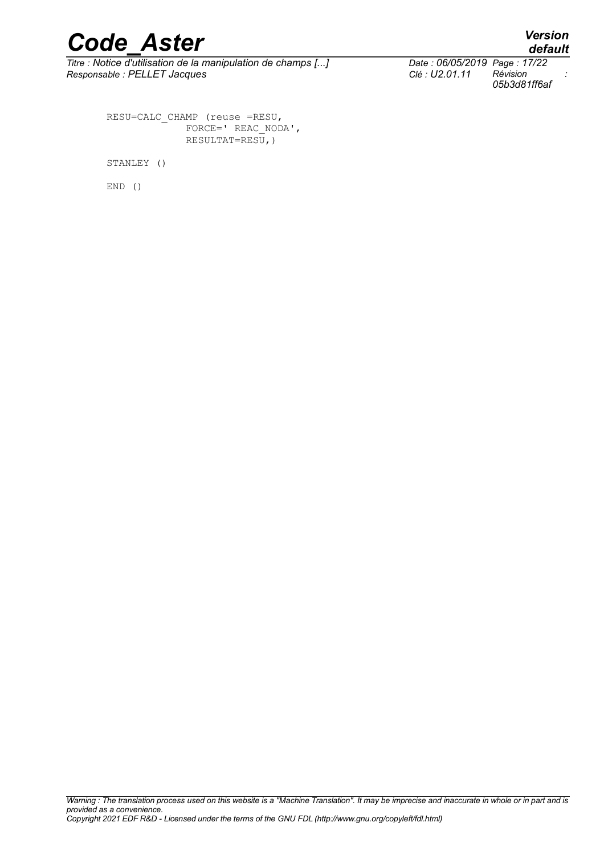# *Code\_Aster Version*<br>Titre : Notice d'utilisation de la manipulation de champs [...] Date : 06/05/2019 Page : 17/22

*Titre : Notice d'utilisation de la manipulation de champs [...] Date : 06/05/2019 Page : 17/22 Responsable : PELLET Jacques Clé : U2.01.11 Révision :*

*05b3d81ff6af*

RESU=CALC\_CHAMP (reuse =RESU, FORCE=' REAC\_NODA',  $RESULTAT=RES\overline{U}$ , )

STANLEY ()

END ()

*Warning : The translation process used on this website is a "Machine Translation". It may be imprecise and inaccurate in whole or in part and is provided as a convenience. Copyright 2021 EDF R&D - Licensed under the terms of the GNU FDL (http://www.gnu.org/copyleft/fdl.html)*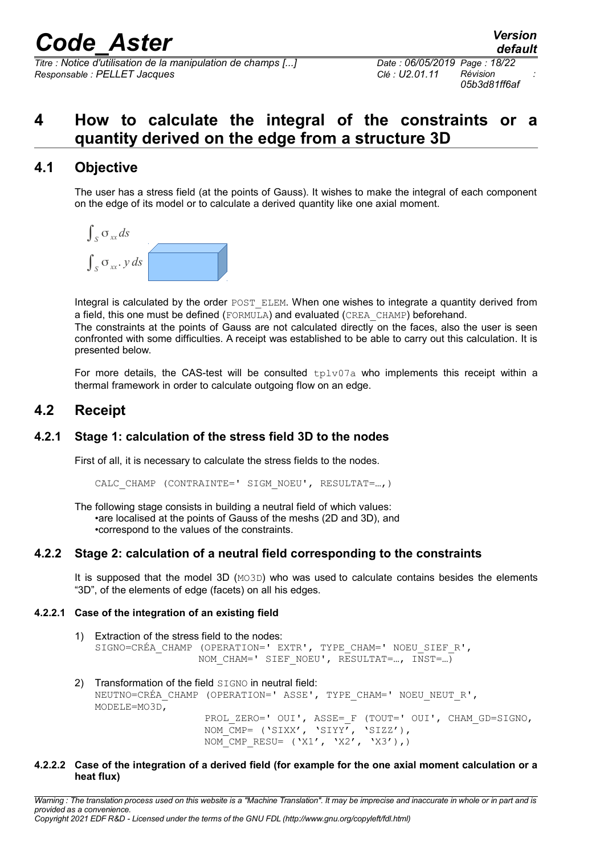*Titre : Notice d'utilisation de la manipulation de champs [...] Date : 06/05/2019 Page : 18/22 Responsable : PELLET Jacques Clé : U2.01.11 Révision :*

# <span id="page-17-4"></span>**4 How to calculate the integral of the constraints or a quantity derived on the edge from a structure 3D**

## **4.1 Objective**

<span id="page-17-3"></span>The user has a stress field (at the points of Gauss). It wishes to make the integral of each component on the edge of its model or to calculate a derived quantity like one axial moment.



Integral is calculated by the order POST\_ELEM. When one wishes to integrate a quantity derived from a field, this one must be defined (FORMULA) and evaluated (CREA\_CHAMP) beforehand.

The constraints at the points of Gauss are not calculated directly on the faces, also the user is seen confronted with some difficulties. A receipt was established to be able to carry out this calculation. It is presented below.

<span id="page-17-2"></span>For more details, the CAS-test will be consulted  $t_{\text{p1v07a}}$  who implements this receipt within a thermal framework in order to calculate outgoing flow on an edge.

## **4.2 Receipt**

### **4.2.1 Stage 1: calculation of the stress field 3D to the nodes**

<span id="page-17-1"></span>First of all, it is necessary to calculate the stress fields to the nodes.

CALC CHAMP (CONTRAINTE=' SIGM\_NOEU', RESULTAT=...,)

The following stage consists in building a neutral field of which values: •are localised at the points of Gauss of the meshs (2D and 3D), and •correspond to the values of the constraints.

### **4.2.2 Stage 2: calculation of a neutral field corresponding to the constraints**

<span id="page-17-0"></span>It is supposed that the model 3D  $(MO3D)$  who was used to calculate contains besides the elements "3D", of the elements of edge (facets) on all his edges.

### **4.2.2.1 Case of the integration of an existing field**

- 1) Extraction of the stress field to the nodes: SIGNO=CRÉA CHAMP (OPERATION=' EXTR', TYPE CHAM=' NOEU SIEF R', NOM CHAM=' SIEF NOEU', RESULTAT=..., INST=...)
- 2) Transformation of the field SIGNO in neutral field: NEUTNO=CRÉA\_CHAMP (OPERATION=' ASSE', TYPE\_CHAM=' NOEU\_NEUT\_R', MODELE=MO3D, PROL ZERO=' OUI', ASSE= F (TOUT=' OUI', CHAM GD=SIGNO,

NOM CMP= ('SIXX', 'SIYY', 'SIZZ'),

NOM CMP RESU=  $('X1', 'X2', 'X3'))$ **4.2.2.2 Case of the integration of a derived field (for example for the one axial moment calculation or a heat flux)**

*Warning : The translation process used on this website is a "Machine Translation". It may be imprecise and inaccurate in whole or in part and is provided as a convenience. Copyright 2021 EDF R&D - Licensed under the terms of the GNU FDL (http://www.gnu.org/copyleft/fdl.html)*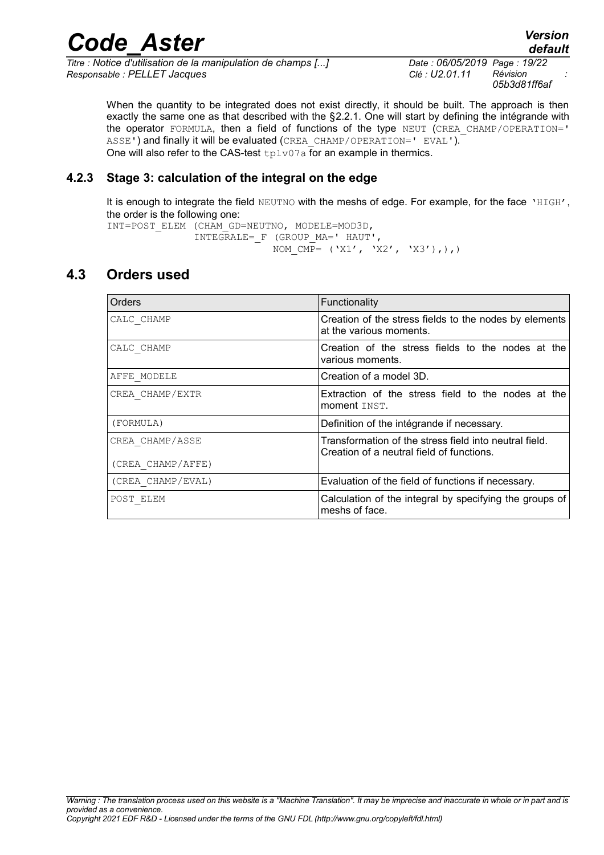*Titre : Notice d'utilisation de la manipulation de champs [...] Date : 06/05/2019 Page : 19/22 Responsable : PELLET Jacques Clé : U2.01.11 Révision :*

*05b3d81ff6af*

When the quantity to be integrated does not exist directly, it should be built. The approach is then exactly the same one as that described with the [§2.2.1.](#page-8-0) One will start by defining the intégrande with the operator FORMULA, then a field of functions of the type NEUT (CREA\_CHAMP/OPERATION=' ASSE') and finally it will be evaluated (CREA\_CHAMP/OPERATION=' EVAL'). One will also refer to the CAS-test  $tplv07a$  for an example in thermics.

### **4.2.3 Stage 3: calculation of the integral on the edge**

<span id="page-18-1"></span>It is enough to integrate the field NEUTNO with the meshs of edge. For example, for the face 'HIGH', the order is the following one:

```
INT=POST_ELEM (CHAM_GD=NEUTNO, MODELE=MOD3D,
```
 INTEGRALE=\_F (GROUP\_MA=' HAUT', NOM CMP=  $('X1', 'X2', 'X3'))$ ,),

## **4.3 Orders used**

<span id="page-18-0"></span>

| Orders            | Functionality                                                                                       |
|-------------------|-----------------------------------------------------------------------------------------------------|
| CALC CHAMP        | Creation of the stress fields to the nodes by elements<br>at the various moments.                   |
| CALC CHAMP        | Creation of the stress fields to the nodes at the<br>various moments.                               |
| AFFE MODELE       | Creation of a model 3D.                                                                             |
| CREA CHAMP/EXTR   | Extraction of the stress field to the nodes at the<br>moment INST.                                  |
| (FORMULA)         | Definition of the intégrande if necessary.                                                          |
| CREA CHAMP/ASSE   | Transformation of the stress field into neutral field.<br>Creation of a neutral field of functions. |
| (CREA CHAMP/AFFE) |                                                                                                     |
| (CREA CHAMP/EVAL) | Evaluation of the field of functions if necessary.                                                  |
| POST ELEM         | Calculation of the integral by specifying the groups of<br>meshs of face.                           |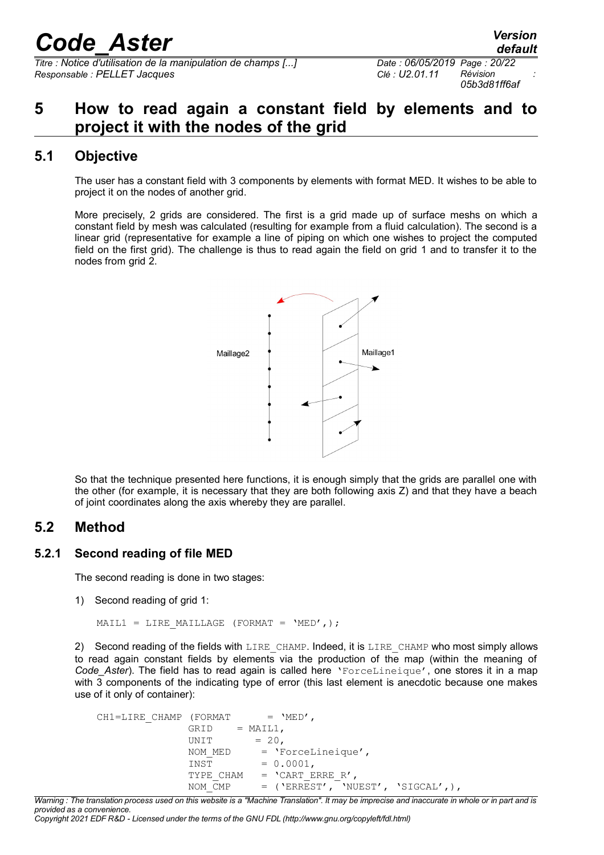*Titre : Notice d'utilisation de la manipulation de champs [...] Date : 06/05/2019 Page : 20/22 Responsable : PELLET Jacques Clé : U2.01.11 Révision :*

*05b3d81ff6af*

# <span id="page-19-3"></span>**5 How to read again a constant field by elements and to project it with the nodes of the grid**

## **5.1 Objective**

<span id="page-19-2"></span>The user has a constant field with 3 components by elements with format MED. It wishes to be able to project it on the nodes of another grid.

More precisely, 2 grids are considered. The first is a grid made up of surface meshs on which a constant field by mesh was calculated (resulting for example from a fluid calculation). The second is a linear grid (representative for example a line of piping on which one wishes to project the computed field on the first grid). The challenge is thus to read again the field on grid 1 and to transfer it to the nodes from grid 2.



So that the technique presented here functions, it is enough simply that the grids are parallel one with the other (for example, it is necessary that they are both following axis Z) and that they have a beach of joint coordinates along the axis whereby they are parallel.

## <span id="page-19-1"></span>**5.2 Method**

## **5.2.1 Second reading of file MED**

<span id="page-19-0"></span>The second reading is done in two stages:

1) Second reading of grid 1:

MAIL1 = LIRE MAILLAGE (FORMAT =  $'MED',$ );

2) Second reading of the fields with LIRE CHAMP. Indeed, it is LIRE CHAMP who most simply allows to read again constant fields by elements via the production of the map (within the meaning of *Code\_Aster*). The field has to read again is called here 'ForceLineique', one stores it in a map with 3 components of the indicating type of error (this last element is anecdotic because one makes use of it only of container):

```
CH1=LIRE CHAMP (FORMAT = 'MED',
             GRID = MAIL1,UNIT = 20,
             NOM MED = 'ForceLineique',INST = 0.0001,TYPE CHAM = 'CART ERRE R',
             NOM \overline{C}MP = ('ERREST', 'NUEST', 'SIGCAL',),
```
*Warning : The translation process used on this website is a "Machine Translation". It may be imprecise and inaccurate in whole or in part and is provided as a convenience.*

*Copyright 2021 EDF R&D - Licensed under the terms of the GNU FDL (http://www.gnu.org/copyleft/fdl.html)*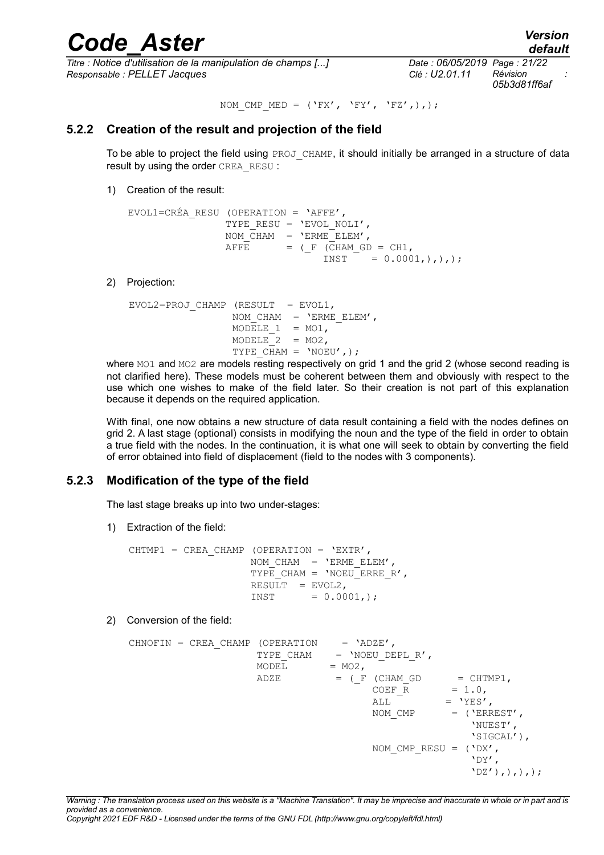*Titre : Notice d'utilisation de la manipulation de champs [...] Date : 06/05/2019 Page : 21/22 Responsable : PELLET Jacques Clé : U2.01.11 Révision :*

*05b3d81ff6af*

#### NOM CMP MED = ('FX', 'FY', 'FZ',),);

## **5.2.2 Creation of the result and projection of the field**

<span id="page-20-1"></span>To be able to project the field using  $PROJCHAMP$ , it should initially be arranged in a structure of data result by using the order CREA\_RESU :

1) Creation of the result:

```
EVOL1=CRÉA_RESU (OPERATION = 'AFFE',
              TYPE RESU = 'EVOLNOLI',
              NOM CHAM = 'ENME ELEM',
              AFFE = (F (CHAM GD = CH1,
                             INST = 0.0001,),),
```
2) Projection:

 $EVOL2=PROJ$  CHAMP (RESULT = EVOL1, NOM CHAM =  $'ENME ELEM'$ , MODELE  $1 = MO1$ ,  $MODELE$  = MO2, TYPE  $CHAM = 'NOEU',$ );

where MO1 and MO2 are models resting respectively on grid 1 and the grid 2 (whose second reading is not clarified here). These models must be coherent between them and obviously with respect to the use which one wishes to make of the field later. So their creation is not part of this explanation because it depends on the required application.

With final, one now obtains a new structure of data result containing a field with the nodes defines on grid 2. A last stage (optional) consists in modifying the noun and the type of the field in order to obtain a true field with the nodes. In the continuation, it is what one will seek to obtain by converting the field of error obtained into field of displacement (field to the nodes with 3 components).

## **5.2.3 Modification of the type of the field**

<span id="page-20-0"></span>The last stage breaks up into two under-stages:

1) Extraction of the field:

```
CHTMP1 = CREA CHAMP (OPERATION = 'EXTR',
                   NOM CHAM = 'ENME ELEM',
                   TYPE CHAM = 'NOEU ERRE R',
                   RESULT = EVOL2,INST = 0.0001,;
```
2) Conversion of the field:

```
CHNOFIN = CREA CHAMP (OPERATION = 'ADZE',
                TYPE CHAM = 'NOEU DEPL R',
                MODEL = MO2,ADZE = (F (CHAM GD = CHTMP1,
COEF_R = 1.0,ALL = 'YES',<br>
NOM CMP = ('ERF= ('ERREST',
                                             'NUEST',
                                             'SIGCAL'),
                               NOM CMP RESU = ('DX',')\mathbf{V} \mathbf{D}\mathbf{Y}^{\prime},
                                            'DZ'),),),);
```